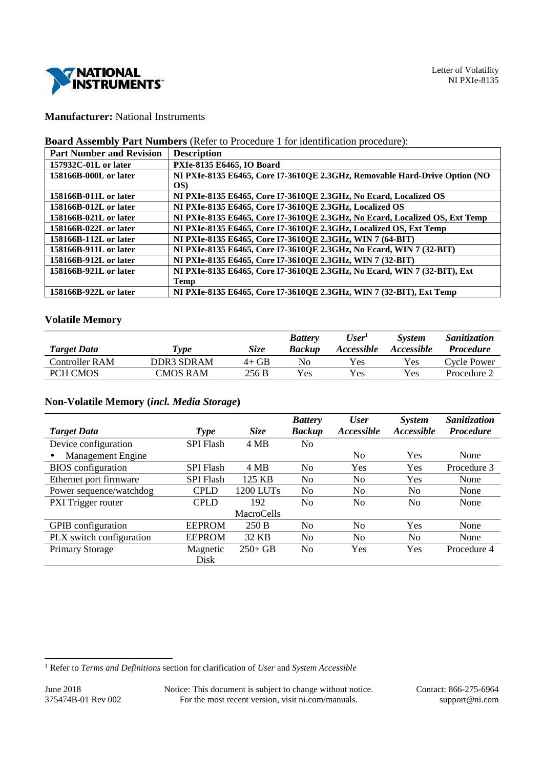

# **Manufacturer:** National Instruments

## **Board Assembly Part Numbers** (Refer to Procedure 1 for identification procedure):

| <b>Part Number and Revision</b> | <b>Description</b>                                                          |
|---------------------------------|-----------------------------------------------------------------------------|
| $157932C-01L$ or later          | PXIe-8135 E6465, IO Board                                                   |
| 158166B-000L or later           | NI PXIe-8135 E6465, Core I7-3610QE 2.3GHz, Removable Hard-Drive Option (NO  |
|                                 | OS)                                                                         |
| 158166B-011L or later           | NI PXIe-8135 E6465, Core I7-3610QE 2.3GHz, No Ecard, Localized OS           |
| 158166B-012L or later           | NI PXIe-8135 E6465, Core I7-3610QE 2.3GHz, Localized OS                     |
| 158166B-021L or later           | NI PXIe-8135 E6465, Core I7-3610QE 2.3GHz, No Ecard, Localized OS, Ext Temp |
| 158166B-022L or later           | NI PXIe-8135 E6465, Core I7-3610QE 2.3GHz, Localized OS, Ext Temp           |
| 158166B-112L or later           | NI PXIe-8135 E6465, Core I7-3610QE 2.3GHz, WIN 7 (64-BIT)                   |
| 158166B-911L or later           | NI PXIe-8135 E6465, Core I7-3610QE 2.3GHz, No Ecard, WIN 7 (32-BIT)         |
| 158166B-912L or later           | NI PXIe-8135 E6465, Core I7-3610QE 2.3GHz, WIN 7 (32-BIT)                   |
| 158166B-921L or later           | NI PXIe-8135 E6465, Core I7-3610QE 2.3GHz, No Ecard, WIN 7 (32-BIT), Ext    |
|                                 | <b>Temp</b>                                                                 |
| 158166B-922L or later           | NI PXIe-8135 E6465, Core I7-3610QE 2.3GHz, WIN 7 (32-BIT), Ext Temp         |

## **Volatile Memory**

|                    |             |             | <b>Battery</b> | User <sup>I</sup> | <b>System</b>     | <i>Sanitization</i> |
|--------------------|-------------|-------------|----------------|-------------------|-------------------|---------------------|
| <b>Target Data</b> | <b>Type</b> | <b>Size</b> | <b>Backup</b>  | <i>Accessible</i> | <i>Accessible</i> | <i>Procedure</i>    |
| Controller RAM     | DDR3 SDRAM  | $4+GB$      | No             | Yes.              | Yes               | Cycle Power         |
| <b>PCH CMOS</b>    | CMOS RAM    | 256 B       | Yes            | Yes               | Yes               | Procedure 2         |

## **Non-Volatile Memory (***incl. Media Storage***)**

|                                       |                  |             | <b>Battery</b> | <b>User</b>    | System         | Sanitization     |
|---------------------------------------|------------------|-------------|----------------|----------------|----------------|------------------|
| <b>Target Data</b>                    | <b>Type</b>      | <b>Size</b> | <b>Backup</b>  | Accessible     | Accessible     | <b>Procedure</b> |
| Device configuration                  | <b>SPI Flash</b> | 4 MB        | No             |                |                |                  |
| <b>Management Engine</b><br>$\bullet$ |                  |             |                | N <sub>0</sub> | Yes            | None             |
| <b>BIOS</b> configuration             | <b>SPI Flash</b> | 4 MB        | No.            | Yes            | Yes            | Procedure 3      |
| Ethernet port firmware                | <b>SPI Flash</b> | 125 KB      | N <sub>0</sub> | N <sub>0</sub> | Yes            | None             |
| Power sequence/watchdog               | <b>CPLD</b>      | 1200 LUTs   | N <sub>0</sub> | N <sub>0</sub> | N <sub>0</sub> | None             |
| PXI Trigger router                    | <b>CPLD</b>      | 192         | N <sub>0</sub> | No             | No             | None             |
|                                       |                  | MacroCells  |                |                |                |                  |
| <b>GPIB</b> configuration             | <b>EEPROM</b>    | 250B        | N <sub>0</sub> | No             | Yes            | None             |
| PLX switch configuration              | <b>EEPROM</b>    | 32 KB       | No             | No             | N <sub>0</sub> | None             |
| <b>Primary Storage</b>                | Magnetic         | $250+GB$    | N <sub>0</sub> | Yes            | Yes            | Procedure 4      |
|                                       | Disk             |             |                |                |                |                  |

June 2018 Notice: This document is subject to change without notice. Contact: 866-275-6964<br>375474B-01 Rev 002 For the most recent version, visit ni.com/manuals. support@ni.com For the most recent version, visit ni.com/manuals. support@ni.com support@ni.com

 1 Refer to *Terms and Definitions* section for clarification of *User* and *System Accessible*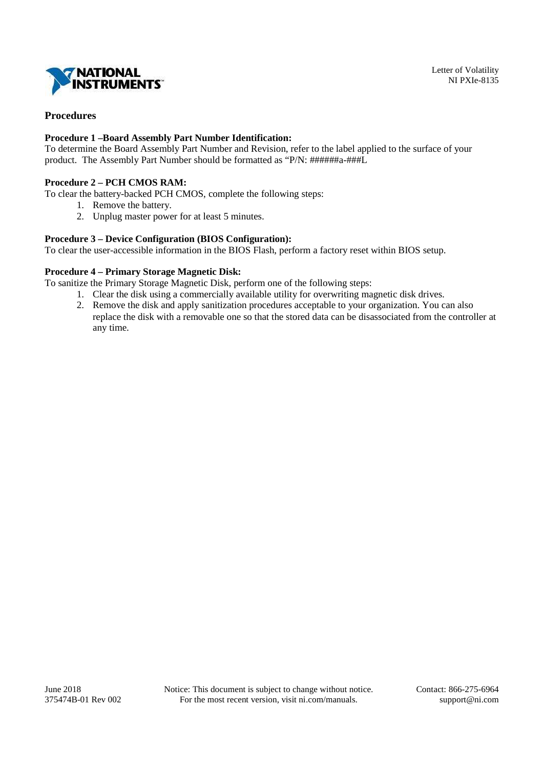

## **Procedures**

## **Procedure 1 –Board Assembly Part Number Identification:**

To determine the Board Assembly Part Number and Revision, refer to the label applied to the surface of your product. The Assembly Part Number should be formatted as "P/N: ######a-###L

## **Procedure 2 – PCH CMOS RAM:**

To clear the battery-backed PCH CMOS, complete the following steps:

- 1. Remove the battery.
- 2. Unplug master power for at least 5 minutes.

### **Procedure 3 – Device Configuration (BIOS Configuration):**

To clear the user-accessible information in the BIOS Flash, perform a factory reset within BIOS setup.

### **Procedure 4 – Primary Storage Magnetic Disk:**

To sanitize the Primary Storage Magnetic Disk, perform one of the following steps:

- 1. Clear the disk using a commercially available utility for overwriting magnetic disk drives.
- 2. Remove the disk and apply sanitization procedures acceptable to your organization. You can also replace the disk with a removable one so that the stored data can be disassociated from the controller at any time.